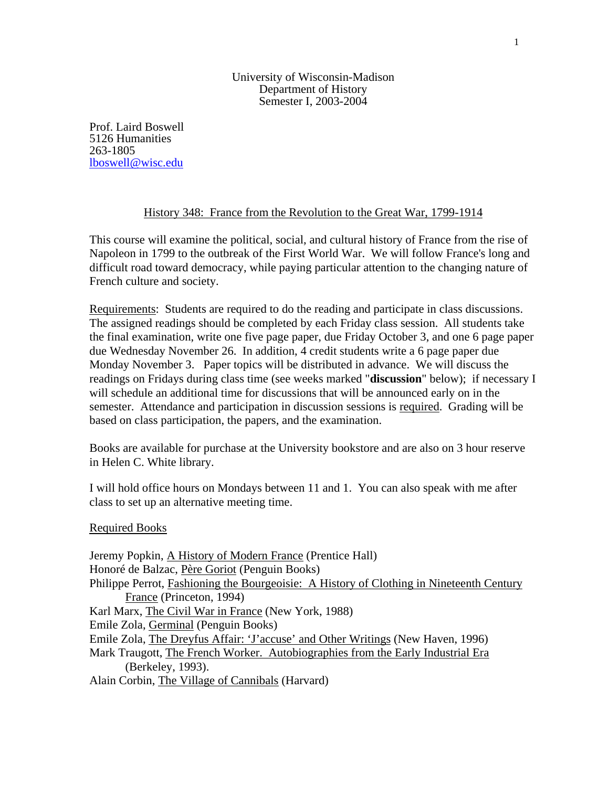University of Wisconsin-Madison Department of History Semester I, 2003-2004

Prof. Laird Boswell 5126 Humanities 263-1805 [lboswell@wisc.edu](mailto:lboswell@wisc.edu)

## History 348: France from the Revolution to the Great War, 1799-1914

This course will examine the political, social, and cultural history of France from the rise of Napoleon in 1799 to the outbreak of the First World War. We will follow France's long and difficult road toward democracy, while paying particular attention to the changing nature of French culture and society.

Requirements: Students are required to do the reading and participate in class discussions. The assigned readings should be completed by each Friday class session. All students take the final examination, write one five page paper, due Friday October 3, and one 6 page paper due Wednesday November 26. In addition, 4 credit students write a 6 page paper due Monday November 3. Paper topics will be distributed in advance. We will discuss the readings on Fridays during class time (see weeks marked "**discussion**" below); if necessary I will schedule an additional time for discussions that will be announced early on in the semester. Attendance and participation in discussion sessions is required. Grading will be based on class participation, the papers, and the examination.

Books are available for purchase at the University bookstore and are also on 3 hour reserve in Helen C. White library.

I will hold office hours on Mondays between 11 and 1. You can also speak with me after class to set up an alternative meeting time.

Required Books

Jeremy Popkin, A History of Modern France (Prentice Hall) Honoré de Balzac, Père Goriot (Penguin Books) Philippe Perrot, Fashioning the Bourgeoisie: A History of Clothing in Nineteenth Century France (Princeton, 1994) Karl Marx, The Civil War in France (New York, 1988) Emile Zola, Germinal (Penguin Books) Emile Zola, The Dreyfus Affair: 'J'accuse' and Other Writings (New Haven, 1996) Mark Traugott, The French Worker. Autobiographies from the Early Industrial Era (Berkeley, 1993). Alain Corbin, The Village of Cannibals (Harvard)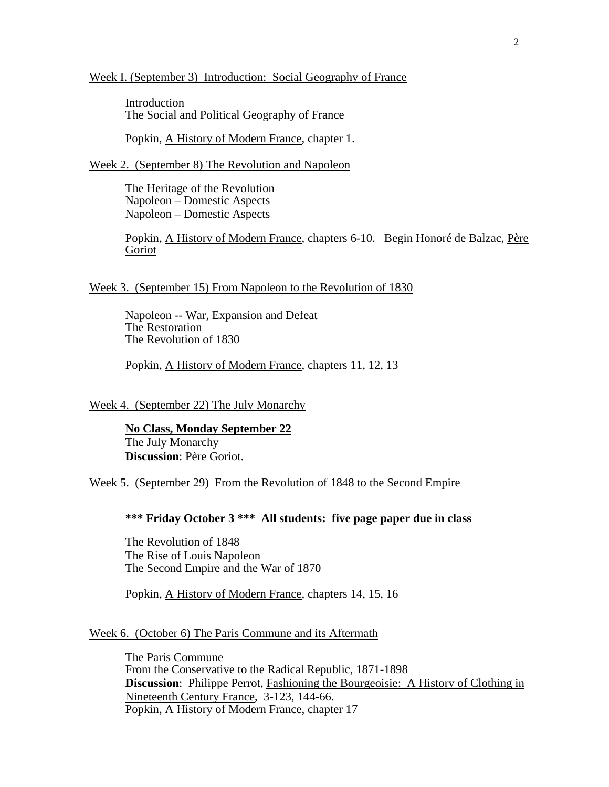#### Week I. (September 3) Introduction: Social Geography of France

 Introduction The Social and Political Geography of France

Popkin, A History of Modern France, chapter 1.

Week 2. (September 8) The Revolution and Napoleon

The Heritage of the Revolution Napoleon – Domestic Aspects Napoleon – Domestic Aspects

Popkin, A History of Modern France, chapters 6-10. Begin Honoré de Balzac, Père Goriot

### Week 3. (September 15) From Napoleon to the Revolution of 1830

Napoleon -- War, Expansion and Defeat The Restoration The Revolution of 1830

Popkin, A History of Modern France, chapters 11, 12, 13

Week 4. (September 22) The July Monarchy

**No Class, Monday September 22** The July Monarchy **Discussion**: Père Goriot.

Week 5. (September 29) From the Revolution of 1848 to the Second Empire

## **\*\*\* Friday October 3 \*\*\* All students: five page paper due in class**

The Revolution of 1848 The Rise of Louis Napoleon The Second Empire and the War of 1870

Popkin, A History of Modern France, chapters 14, 15, 16

## Week 6. (October 6) The Paris Commune and its Aftermath

The Paris Commune From the Conservative to the Radical Republic, 1871-1898 **Discussion:** Philippe Perrot, Fashioning the Bourgeoisie: A History of Clothing in Nineteenth Century France, 3-123, 144-66. Popkin, A History of Modern France, chapter 17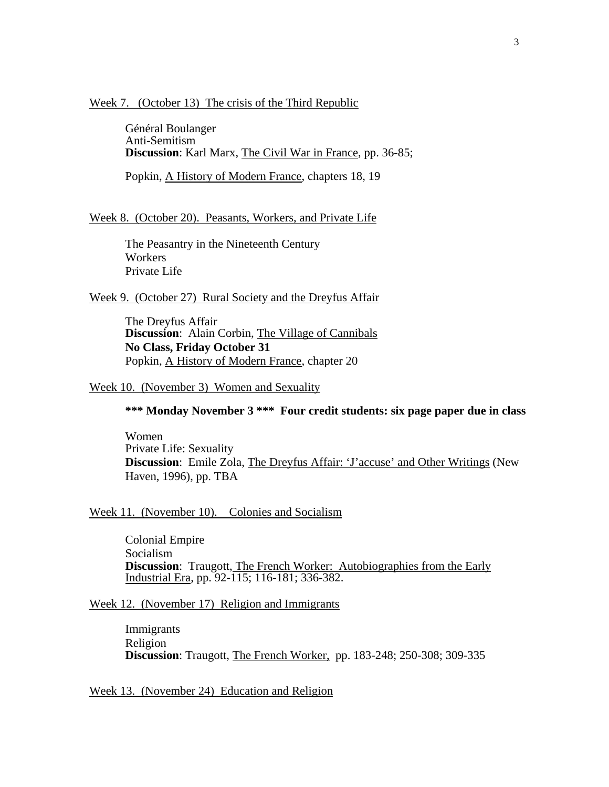#### Week 7. (October 13) The crisis of the Third Republic

Général Boulanger Anti-Semitism **Discussion**: Karl Marx, The Civil War in France, pp. 36-85;

Popkin, A History of Modern France, chapters 18, 19

## Week 8. (October 20). Peasants, Workers, and Private Life

The Peasantry in the Nineteenth Century Workers Private Life

## Week 9. (October 27) Rural Society and the Dreyfus Affair

 The Dreyfus Affair **Discussion**: Alain Corbin, The Village of Cannibals **No Class, Friday October 31**  Popkin, A History of Modern France, chapter 20

## Week 10. (November 3) Women and Sexuality

# **\*\*\* Monday November 3 \*\*\* Four credit students: six page paper due in class**

Women Private Life: Sexuality **Discussion**: Emile Zola, The Dreyfus Affair: 'J'accuse' and Other Writings (New Haven, 1996), pp. TBA

## Week 11. (November 10). Colonies and Socialism

 Colonial Empire Socialism **Discussion:** Traugott, The French Worker: Autobiographies from the Early Industrial Era, pp. 92-115; 116-181; 336-382.

### Week 12. (November 17) Religion and Immigrants

Immigrants Religion **Discussion**: Traugott, The French Worker, pp. 183-248; 250-308; 309-335

Week 13. (November 24) Education and Religion